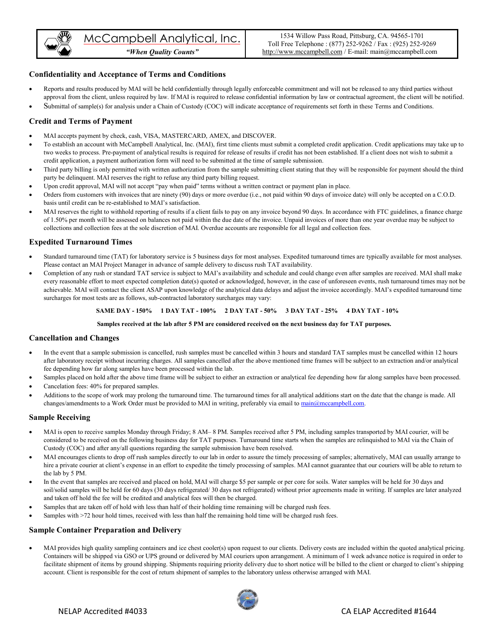

*"When Quality Counts"*

## **Confidentiality and Acceptance of Terms and Conditions**

- Reports and results produced by MAI will be held confidentially through legally enforceable commitment and will not be released to any third parties without approval from the client, unless required by law. If MAI is required to release confidential information by law or contractual agreement, the client will be notified.
- Submittal of sample(s) for analysis under a Chain of Custody (COC) will indicate acceptance of requirements set forth in these Terms and Conditions.

### **Credit and Terms of Payment**

- MAI accepts payment by check, cash, VISA, MASTERCARD, AMEX, and DISCOVER.
- To establish an account with McCampbell Analytical, Inc. (MAI), first time clients must submit a completed credit application. Credit applications may take up to two weeks to process. Pre-payment of analytical results is required for release of results if credit has not been established. If a client does not wish to submit a credit application, a payment authorization form will need to be submitted at the time of sample submission.
- Third party billing is only permitted with written authorization from the sample submitting client stating that they will be responsible for payment should the third party be delinquent. MAI reserves the right to refuse any third party billing request.
- Upon credit approval, MAI will not accept "pay when paid" terms without a written contract or payment plan in place.
- Orders from customers with invoices that are ninety (90) days or more overdue (i.e., not paid within 90 days of invoice date) will only be accepted on a C.O.D. basis until credit can be re-established to MAI's satisfaction.
- MAI reserves the right to withhold reporting of results if a client fails to pay on any invoice beyond 90 days. In accordance with FTC guidelines, a finance charge of 1.50% per month will be assessed on balances not paid within the due date of the invoice. Unpaid invoices of more than one year overdue may be subject to collections and collection fees at the sole discretion of MAI. Overdue accounts are responsible for all legal and collection fees.

### **Expedited Turnaround Times**

- Standard turnaround time (TAT) for laboratory service is 5 business days for most analyses. Expedited turnaround times are typically available for most analyses. Please contact an MAI Project Manager in advance of sample delivery to discuss rush TAT availability.
- Completion of any rush or standard TAT service is subject to MAI's availability and schedule and could change even after samples are received. MAI shall make every reasonable effort to meet expected completion date(s) quoted or acknowledged, however, in the case of unforeseen events, rush turnaround times may not be achievable. MAI will contact the client ASAP upon knowledge of the analytical data delays and adjust the invoice accordingly. MAI's expedited turnaround time surcharges for most tests are as follows, sub-contracted laboratory surcharges may vary:

#### **SAME DAY - 150% 1 DAY TAT - 100% 2 DAY TAT - 50% 3 DAY TAT - 25% 4 DAY TAT - 10%**

#### **Samples received at the lab after 5 PM are considered received on the next business day for TAT purposes.**

### **Cancellation and Changes**

- In the event that a sample submission is cancelled, rush samples must be cancelled within 3 hours and standard TAT samples must be cancelled within 12 hours after laboratory receipt without incurring charges. All samples cancelled after the above mentioned time frames will be subject to an extraction and/or analytical fee depending how far along samples have been processed within the lab.
- Samples placed on hold after the above time frame will be subject to either an extraction or analytical fee depending how far along samples have been processed.
- Cancelation fees: 40% for prepared samples.
- Additions to the scope of work may prolong the turnaround time. The turnaround times for all analytical additions start on the date that the change is made. All changes/amendments to a Work Order must be provided to MAI in writing, preferably via email t[o main@mccampbell.com.](mailto:main@mccampbell.com)

### **Sample Receiving**

- MAI is open to receive samples Monday through Friday; 8 AM– 8 PM. Samples received after 5 PM, including samples transported by MAI courier, will be considered to be received on the following business day for TAT purposes. Turnaround time starts when the samples are relinquished to MAI via the Chain of Custody (COC) and after any/all questions regarding the sample submission have been resolved.
- MAI encourages clients to drop off rush samples directly to our lab in order to assure the timely processing of samples; alternatively, MAI can usually arrange to hire a private courier at client's expense in an effort to expedite the timely processing of samples. MAI cannot guarantee that our couriers will be able to return to the lab by 5 PM.
- In the event that samples are received and placed on hold, MAI will charge \$5 per sample or per core for soils. Water samples will be held for 30 days and soil/solid samples will be held for 60 days (30 days refrigerated/ 30 days not refrigerated) without prior agreements made in writing. If samples are later analyzed and taken off hold the fee will be credited and analytical fees will then be charged.
- Samples that are taken off of hold with less than half of their holding time remaining will be charged rush fees.
- Samples with >72 hour hold times, received with less than half the remaining hold time will be charged rush fees.

### **Sample Container Preparation and Delivery**

 MAI provides high quality sampling containers and ice chest cooler(s) upon request to our clients. Delivery costs are included within the quoted analytical pricing. Containers will be shipped via GSO or UPS ground or delivered by MAI couriers upon arrangement. A minimum of 1 week advance notice is required in order to facilitate shipment of items by ground shipping. Shipments requiring priority delivery due to short notice will be billed to the client or charged to client's shipping account. Client is responsible for the cost of return shipment of samples to the laboratory unless otherwise arranged with MAI.